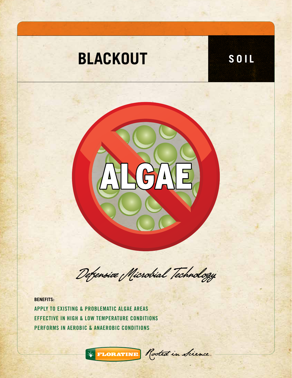



Defensive Microbial Technology

**BENEFITS:**

APPLY TO EXISTING & PROBLEMATIC ALGAE AREAS EFFECTIVE IN HIGH & LOW TEMPERATURE CONDITIONS PERFORMS IN AEROBIC & ANAEROBIC CONDITIONS